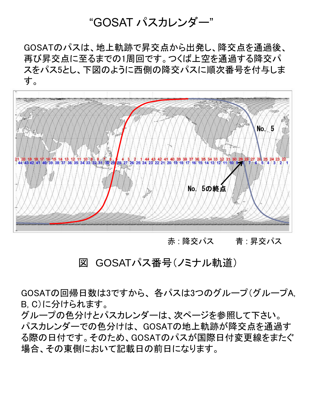# "GOSAT パスカレンダー"

GOSATのパスは、地上軌跡で昇交点から出発し、降交点を通過後、 再び昇交点に至るまでの1周回です。つくば上空を通過する降交パ スをパス5とし、下図のように西側の降交パスに順次番号を付与しま す。



# 赤 : 降交パス - 青 : 昇交パス

# 図 GOSATパス番号(ノミナル軌道)

GOSATの回帰日数は3ですから、 各パスは3つのグループ(グループA, B, C)に分けられます。

グループの色分けとパスカレンダーは、次ページを参照して下さい。 パスカレンダーでの色分けは、 GOSATの地上軌跡が降交点を通過す る際の日付です。そのため、GOSATのパスが国際日付変更線をまたぐ 場合、その東側において記載日の前日になります。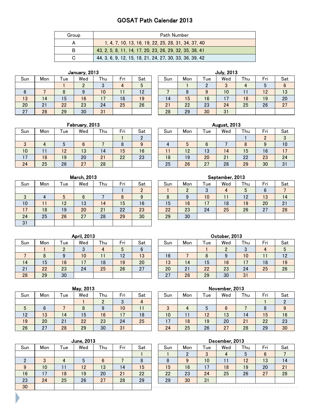## GOSAT Path Calendar 2013

| Group | <b>Path Number</b>                                      |
|-------|---------------------------------------------------------|
|       | 1, 4, 7, 10, 13, 16, 19, 22, 25, 28, 31, 34, 37, 40     |
| в     | 43, 2, 5, 8, 11, 14, 17, 20, 23, 26, 29, 32, 35, 38, 41 |
|       | 44, 3, 6, 9, 12, 15, 18, 21, 24, 27, 30, 33, 36, 39, 42 |

| Sun | Mon | l ue | Wed             | Thu | Fri | Sat | Sun       | Mon | Tue | We |
|-----|-----|------|-----------------|-----|-----|-----|-----------|-----|-----|----|
|     |     |      |                 |     |     |     |           |     |     | 3  |
|     |     |      |                 | 10  |     | 12  |           |     |     | 10 |
| 13  | 14  | 15   | $6\phantom{1}6$ |     | 18  | 19  | $\vert 4$ | 15  | 16  |    |
| 20  | 21  | 22   | 23              | 24  | 25  | 26  | 21        | 22  | 23  | 24 |
| 27  | 28  | 29   | 30              | 31  |     |     | 28        | 29  | 30  | 31 |

|     |     |     | January, 2013 |     |     |     |     |     |     | <b>July, 2013</b> |     |     |     |
|-----|-----|-----|---------------|-----|-----|-----|-----|-----|-----|-------------------|-----|-----|-----|
| Sun | Mon | Tue | Wed           | Thu | Fri | Sat | Sun | Mon | Tue | Wed               | Thu | Fri | Sat |
|     |     |     | C             | ≘   | д   | 5   |     |     |     | ာ                 |     | 5   | 6   |
| 6   |     |     | 9             | 10  |     | 12  |     |     |     | 10                |     | 12  | 13  |
| 13  | 14  | 15  | 16            | 17  | 18  | 19  | 14  | 15  | 16  | 17                | 18  | 19  | 20  |
| 20  | 21  | 22  | 23            | 24  | 25  | 26  | 21  | 22  | 23  | 24                | 25  | 26  | 27  |
| 27  | 28  | 29  | 30            | 31  |     |     | 28  | 29  | 30  | 31                |     |     |     |

|     |     |     | .   |     |     |     |     |          |      |     |     |            |     |
|-----|-----|-----|-----|-----|-----|-----|-----|----------|------|-----|-----|------------|-----|
| Sun | Mon | Tue | Wed | Thu | Fri | Sat | Sun | Mon      | Tuel | Wed | Thu | - '<br>Fri | Sat |
|     |     |     |     |     |     |     |     |          |      |     |     |            | 3   |
| O   |     |     |     |     |     | 9   | Δ   |          |      |     |     |            | 10  |
| 10  |     | 12  | 13  | 14  | 15  | 16  |     | 12<br>ΙZ | 13   | 14  | 15  | 16         | 17  |
|     | 18  | 19  | 20  | 21  | 22  | 23  | 18  | 19       | 20   | 21  | 22  | 23         | 24  |
| 24  | 25  | 26  | 27  | 28  |     |     | 25  | 26       | 27   | 28  | 29  | 30         | 31  |

|     |     |    | February, 2013 |     |     |     |     |     |      | <b>August, 2013</b> |     |     |     |
|-----|-----|----|----------------|-----|-----|-----|-----|-----|------|---------------------|-----|-----|-----|
| sun | Mon | ue | Wed            | Thu | Fri | Sat | Sun | Mon | l ue | Wed                 | Thu | Fri | Sat |
|     |     |    |                |     |     | ŋ   |     |     |      |                     |     | c   | ື   |
| 3   |     |    | 6              |     |     | 9   | 4   |     | 6    |                     | 8   |     | 10  |
| 10  |     | 12 | 13             | 14  | 15  | 16  |     | 12  | 13   | 14                  | 15  | 16  |     |
| 17  | 18  | 19 | 20             | 21  | 22  | 23  | 18  | 19  | 20   | 21                  | 22  | 23  | 24  |
| 24  | 25  | 26 | 27             | 28  |     |     | 25  | 26  | 27   | 28                  | 29  | 30  | 31  |

| Sun | Mon | Tue | Wed | Thu | Fri | Sat | Sun | Mon      | Tue             | Wed | Thu | Fri | Sat |
|-----|-----|-----|-----|-----|-----|-----|-----|----------|-----------------|-----|-----|-----|-----|
|     |     |     |     |     |     |     |     | $\Omega$ |                 | 4   | 5   | 6   |     |
| 3   |     | 5   |     |     | 8   | 9   | 8   | 9        | 10 <sup>°</sup> | 11  | 12  | 13  | 14  |
| 10  |     | 12  | 13  | 14  | 15  | 16  | 15  | 16       | 17              | 18  | 19  | 20  | 21  |
| 17  | 18  | 19  | 20  | 21  | 22  | 23  | 22  | 23       | 24              | 25  | 26  | 27  | 28  |
| 24  | 25  | 26  | 27  | 28  | 29  | 30  | 29  | 30       |                 |     |     |     |     |
| 31  |     |     |     |     |     |     |     |          |                 |     |     |     |     |

| <b>March, 2013</b> |     |     |     |     |     |                 | September, 2013 |     |     |     |
|--------------------|-----|-----|-----|-----|-----|-----------------|-----------------|-----|-----|-----|
| Wed                | Thu | Fri | Sat | Sun | Mon | Tue             | Wed             | Thu | Fri | Sat |
|                    |     |     |     |     |     | J               | 4               | 5   | 6   |     |
| 6                  |     |     | 9   | 8   | 9   | 10              |                 | 12  | 13  | 4 ا |
| 13                 | 14  | 15  | 16  | 15  | 16  | $\overline{17}$ | 18              | 19  | 20  | 21  |
| 20                 | 21  | 22  | 23  | 22  | 23  | 24              | 25              | 26  | 27  | 28  |
| 27                 | 28  | 29  | 30  | 29  | 30  |                 |                 |     |     |     |

| Sun | Mon | Tue | Wed                  | Thu | Fri | Sat                 | Sun | Mon      | Tue | Wed | Thu | Fri | Sat |
|-----|-----|-----|----------------------|-----|-----|---------------------|-----|----------|-----|-----|-----|-----|-----|
|     |     |     | $\Omega$<br>ື        |     |     |                     |     |          |     | C   |     |     | 5   |
|     |     |     | 10 <sup>°</sup>      |     | 12  | 13                  | 16  |          |     |     | 10  |     | 12  |
| 14  | 15  | 16  | 17<br>$\blacksquare$ | 18  | 19  | 20                  | 13  | 14       | 15  | 16  |     | 18  | 19  |
| 21  | 22  | 23  | 24                   | 25  | 26  | 07<br>$\mathcal{L}$ | 20  | 01<br>ΖI | 22  | 23  | 24  | 25  | 26  |
| 28  | 29  | 30  |                      |     |     |                     | 27  | 28       | 29  | 30  | 31  |     |     |

# April, 2013 October, 2013 1 2 3 4 5 6 7 2 3 4 5

## May, 2013 November, 2013

| Sun | Mon | Tue | Wed | Thu | Fri             | Sat | Sun    | Mon | Tue | Wed | Thu | Fri | Sa |
|-----|-----|-----|-----|-----|-----------------|-----|--------|-----|-----|-----|-----|-----|----|
|     |     |     |     |     |                 | 4   |        |     |     |     |     |     |    |
| Ð   |     |     |     |     | 10              |     | c<br>υ |     |     | υ   |     |     | 9  |
| 12  | 13  | 14  | 15  | 16  | $\overline{17}$ | 18  | 10     |     | 12  | 13  | 14  | 15  | 16 |
| 19  | 20  | 21  | 22  | 23  | 24              | 25  | ⇁      | 18  | 19  | 20  | 21  | 22  | 23 |
| 26  | 27  | 28  | 29  | 30  | 31              |     | 24     | 25  | 26  | 27  | 28  | 29  | 30 |

## $S_{\text{up}}$  Mon Tue Wed Thu Fri Sat

| еu  | i riu | гн | oac | oun | <b>IVIOII</b>  | ı ue | weu | i riu | гн | oal |
|-----|-------|----|-----|-----|----------------|------|-----|-------|----|-----|
|     |       |    |     |     |                |      |     |       |    |     |
| 8   |       | 10 |     |     |                |      |     |       |    |     |
| 5   | 16    |    | 18  | ιU  |                | 12   | 13  | 14    | 15 | 16  |
| 0 ( | 23    | 24 | 25  |     | $\overline{8}$ | 19   | 20  |       | 22 | 23  |
| 29  | 30    | 31 |     | 24  | 25             | 26   | 27  | 28    | 29 | 30  |

| Sun | Mon | Tue | Wed | Thu | Fri | Sat | Sun | Mon | Tue | Wed | Thu | Fri | Sat |
|-----|-----|-----|-----|-----|-----|-----|-----|-----|-----|-----|-----|-----|-----|
|     |     |     |     |     |     |     |     |     |     | 4   | J   | 6   |     |
|     | ື   |     | 5   | 6   |     |     | 8   | 9   | 10  | . . | 12  | 13  | 14  |
| 9   | 10  |     | 12  | 13  | 14  | 15  | 15  | 16  | 17  | 18  | 19  | 20  | 21  |
| 16  |     | 18  | 19  | 20  | 21  | 22  | 22  | 23  | 24  | 25  | 26  | 27  | 28  |
| 23  | 24  | 25  | 26  | 27  | 28  | 29  | 29  | 30  | 31  |     |     |     |     |
| 30  |     |     |     |     |     |     |     |     |     |     |     |     |     |

## June, 2013 December, 2013

| iat            | Sun | Mon | Tue | Wed | Thu | Fri | Sat |
|----------------|-----|-----|-----|-----|-----|-----|-----|
|                |     |     |     |     |     |     |     |
| 8              |     |     | 10  |     | 12  | 13  | 14  |
| 5              | 15  | 16  |     | 18  | 19  | 20  | 21  |
| $\overline{2}$ | 22  | 23  | 24  | 25  | 26  | 27  | 28  |
| 29             | 29  | 30  | 31  |     |     |     |     |
|                |     |     |     |     |     |     |     |